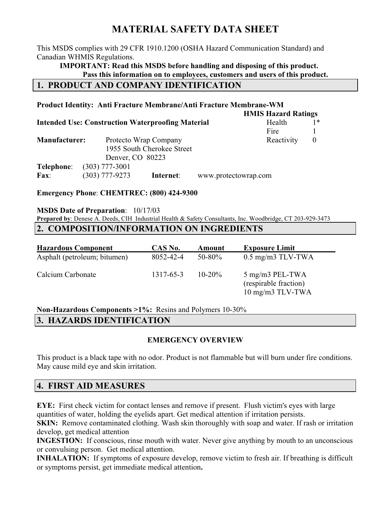# MATERIAL SAFETY DATA SHEET

This MSDS complies with 29 CFR 1910.1200 (OSHA Hazard Communication Standard) and Canadian WHMIS Regulations.

IMPORTANT: Read this MSDS before handling and disposing of this product. Pass this information on to employees, customers and users of this product.

## 1. PRODUCT AND COMPANY IDENTIFICATION

#### Product Identity: Anti Fracture Membrane/Anti Fracture Membrane-WM HMIS Hazard Ratings **Intended Use: Construction Waterproofing Material Frame Health 1\***

|                      | Intended Ose. Construction waterprobling material |                            | 110a1u1              |            |          |
|----------------------|---------------------------------------------------|----------------------------|----------------------|------------|----------|
|                      |                                                   |                            |                      | Fire       |          |
| <b>Manufacturer:</b> |                                                   | Protecto Wrap Company      |                      | Reactivity | $\theta$ |
|                      |                                                   | 1955 South Cherokee Street |                      |            |          |
|                      | Denver, CO 80223                                  |                            |                      |            |          |
| Telephone:           | $(303)$ 777-3001                                  |                            |                      |            |          |
| <b>Fax:</b>          | $(303)$ 777-9273                                  | Internet:                  | www.protectowrap.com |            |          |
|                      |                                                   |                            |                      |            |          |

Emergency Phone: CHEMTREC: (800) 424-9300

### MSDS Date of Preparation: 10/17/03

Prepared by: Denese A. Deeds, CIH Industrial Health & Safety Consultants, Inc. Woodbridge, CT 203-929-3473

### 2. COMPOSITION/INFORMATION ON INGREDIENTS

| <b>Hazardous Component</b>   | CAS No.   | Amount      | <b>Exposure Limit</b>                                        |
|------------------------------|-----------|-------------|--------------------------------------------------------------|
| Asphalt (petroleum; bitumen) | 8052-42-4 | $50 - 80\%$ | $0.5$ mg/m3 TLV-TWA                                          |
| Calcium Carbonate            | 1317-65-3 | $10 - 20\%$ | 5 mg/m3 PEL-TWA<br>(respirable fraction)<br>10 mg/m3 TLV-TWA |

Non-Hazardous Components >1%: Resins and Polymers 10-30%

## 3. HAZARDS IDENTIFICATION

## EMERGENCY OVERVIEW

This product is a black tape with no odor. Product is not flammable but will burn under fire conditions. May cause mild eye and skin irritation.

## 4. FIRST AID MEASURES

EYE: First check victim for contact lenses and remove if present. Flush victim's eyes with large quantities of water, holding the eyelids apart. Get medical attention if irritation persists.

SKIN: Remove contaminated clothing. Wash skin thoroughly with soap and water. If rash or irritation develop, get medical attention

INGESTION: If conscious, rinse mouth with water. Never give anything by mouth to an unconscious or convulsing person. Get medical attention.

INHALATION: If symptoms of exposure develop, remove victim to fresh air. If breathing is difficult or symptoms persist, get immediate medical attention.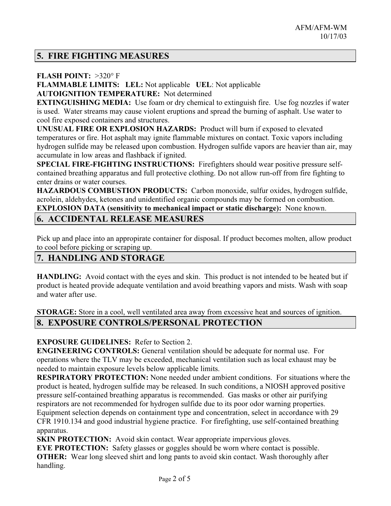## 5. FIRE FIGHTING MEASURES

#### FLASH POINT:  $>320^\circ$  F

FLAMMABLE LIMITS: LEL: Not applicable UEL: Not applicable AUTOIGNITION TEMPERATURE: Not determined

EXTINGUISHING MEDIA: Use foam or dry chemical to extinguish fire. Use fog nozzles if water is used. Water streams may cause violent eruptions and spread the burning of asphalt. Use water to cool fire exposed containers and structures.

UNUSUAL FIRE OR EXPLOSION HAZARDS: Product will burn if exposed to elevated temperatures or fire. Hot asphalt may ignite flammable mixtures on contact. Toxic vapors including hydrogen sulfide may be released upon combustion. Hydrogen sulfide vapors are heavier than air, may accumulate in low areas and flashback if ignited.

SPECIAL FIRE-FIGHTING INSTRUCTIONS: Firefighters should wear positive pressure selfcontained breathing apparatus and full protective clothing. Do not allow run-off from fire fighting to enter drains or water courses.

HAZARDOUS COMBUSTION PRODUCTS: Carbon monoxide, sulfur oxides, hydrogen sulfide, acrolein, aldehydes, ketones and unidentified organic compounds may be formed on combustion. EXPLOSION DATA (sensitivity to mechanical impact or static discharge): None known.

## 6. ACCIDENTAL RELEASE MEASURES

Pick up and place into an appropirate container for disposal. If product becomes molten, allow product to cool before picking or scraping up.

## 7. HANDLING AND STORAGE

HANDLING: Avoid contact with the eyes and skin. This product is not intended to be heated but if product is heated provide adequate ventilation and avoid breathing vapors and mists. Wash with soap and water after use.

STORAGE: Store in a cool, well ventilated area away from excessive heat and sources of ignition.

## 8. EXPOSURE CONTROLS/PERSONAL PROTECTION

EXPOSURE GUIDELINES: Refer to Section 2.

ENGINEERING CONTROLS: General ventilation should be adequate for normal use. For operations where the TLV may be exceeded, mechanical ventilation such as local exhaust may be needed to maintain exposure levels below applicable limits.

RESPIRATORY PROTECTION: None needed under ambient conditions. For situations where the product is heated, hydrogen sulfide may be released. In such conditions, a NIOSH approved positive pressure self-contained breathing apparatus is recommended. Gas masks or other air purifying respirators are not recommended for hydrogen sulfide due to its poor odor warning properties. Equipment selection depends on containment type and concentration, select in accordance with 29

CFR 1910.134 and good industrial hygiene practice. For firefighting, use self-contained breathing apparatus.

SKIN PROTECTION: Avoid skin contact. Wear appropriate impervious gloves.

EYE PROTECTION: Safety glasses or goggles should be worn where contact is possible. **OTHER:** Wear long sleeved shirt and long pants to avoid skin contact. Wash thoroughly after handling.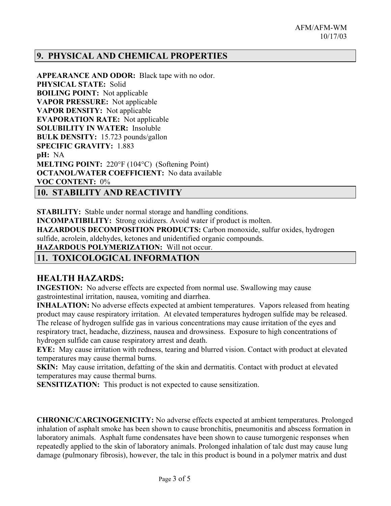## 9. PHYSICAL AND CHEMICAL PROPERTIES

APPEARANCE AND ODOR: Black tape with no odor. PHYSICAL STATE: Solid BOILING POINT: Not applicable VAPOR PRESSURE: Not applicable VAPOR DENSITY: Not applicable EVAPORATION RATE: Not applicable SOLUBILITY IN WATER: Insoluble BULK DENSITY: 15.723 pounds/gallon SPECIFIC GRAVITY: 1.883 pH: NA MELTING POINT: 220°F (104°C) (Softening Point) OCTANOL/WATER COEFFICIENT: No data available VOC CONTENT: 0%

10. STABILITY AND REACTIVITY

STABILITY: Stable under normal storage and handling conditions.

INCOMPATIBILITY: Strong oxidizers. Avoid water if product is molten.

HAZARDOUS DECOMPOSITION PRODUCTS: Carbon monoxide, sulfur oxides, hydrogen sulfide, acrolein, aldehydes, ketones and unidentified organic compounds.

HAZARDOUS POLYMERIZATION: Will not occur.

## 11. TOXICOLOGICAL INFORMATION

### HEALTH HAZARDS:

INGESTION: No adverse effects are expected from normal use. Swallowing may cause gastrointestinal irritation, nausea, vomiting and diarrhea.

INHALATION: No adverse effects expected at ambient temperatures. Vapors released from heating product may cause respiratory irritation. At elevated temperatures hydrogen sulfide may be released. The release of hydrogen sulfide gas in various concentrations may cause irritation of the eyes and respiratory tract, headache, dizziness, nausea and drowsiness. Exposure to high concentrations of hydrogen sulfide can cause respiratory arrest and death.

EYE: May cause irritation with redness, tearing and blurred vision. Contact with product at elevated temperatures may cause thermal burns.

SKIN: May cause irritation, defatting of the skin and dermatitis. Contact with product at elevated temperatures may cause thermal burns.

SENSITIZATION: This product is not expected to cause sensitization.

CHRONIC/CARCINOGENICITY: No adverse effects expected at ambient temperatures. Prolonged inhalation of asphalt smoke has been shown to cause bronchitis, pneumonitis and abscess formation in laboratory animals. Asphalt fume condensates have been shown to cause tumorgenic responses when repeatedly applied to the skin of laboratory animals. Prolonged inhalation of talc dust may cause lung damage (pulmonary fibrosis), however, the talc in this product is bound in a polymer matrix and dust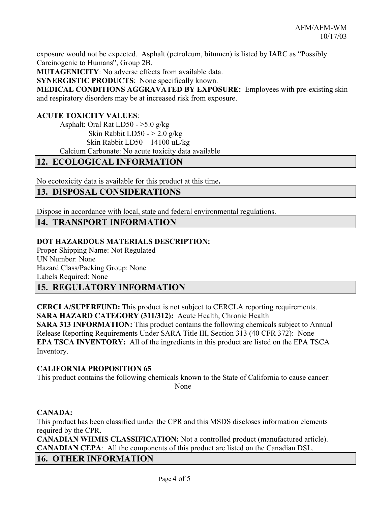exposure would not be expected. Asphalt (petroleum, bitumen) is listed by IARC as "Possibly Carcinogenic to Humans", Group 2B.

MUTAGENICITY: No adverse effects from available data.

SYNERGISTIC PRODUCTS: None specifically known.

MEDICAL CONDITIONS AGGRAVATED BY EXPOSURE: Employees with pre-existing skin and respiratory disorders may be at increased risk from exposure.

#### ACUTE TOXICITY VALUES:

Asphalt: Oral Rat  $LD50 - >5.0$  g/kg Skin Rabbit LD50 -  $>$  2.0 g/kg Skin Rabbit LD50 – 14100 uL/kg Calcium Carbonate: No acute toxicity data available

### 12. ECOLOGICAL INFORMATION

No ecotoxicity data is available for this product at this time.

## 13. DISPOSAL CONSIDERATIONS

Dispose in accordance with local, state and federal environmental regulations.

### 14. TRANSPORT INFORMATION

#### DOT HAZARDOUS MATERIALS DESCRIPTION:

Proper Shipping Name: Not Regulated UN Number: None Hazard Class/Packing Group: None Labels Required: None

## 15. REGULATORY INFORMATION

CERCLA/SUPERFUND: This product is not subject to CERCLA reporting requirements. SARA HAZARD CATEGORY (311/312): Acute Health, Chronic Health SARA 313 INFORMATION: This product contains the following chemicals subject to Annual Release Reporting Requirements Under SARA Title III, Section 313 (40 CFR 372): None EPA TSCA INVENTORY: All of the ingredients in this product are listed on the EPA TSCA Inventory.

#### CALIFORNIA PROPOSITION 65

This product contains the following chemicals known to the State of California to cause cancer: None None

#### CANADA:

This product has been classified under the CPR and this MSDS discloses information elements required by the CPR.

CANADIAN WHMIS CLASSIFICATION: Not a controlled product (manufactured article). CANADIAN CEPA: All the components of this product are listed on the Canadian DSL.

### 16. OTHER INFORMATION